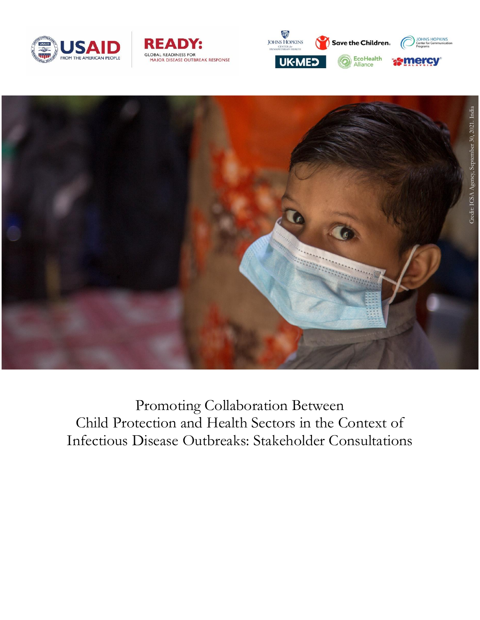







Promoting Collaboration Between Child Protection and Health Sectors in the Context of Infectious Disease Outbreaks: Stakeholder Consultations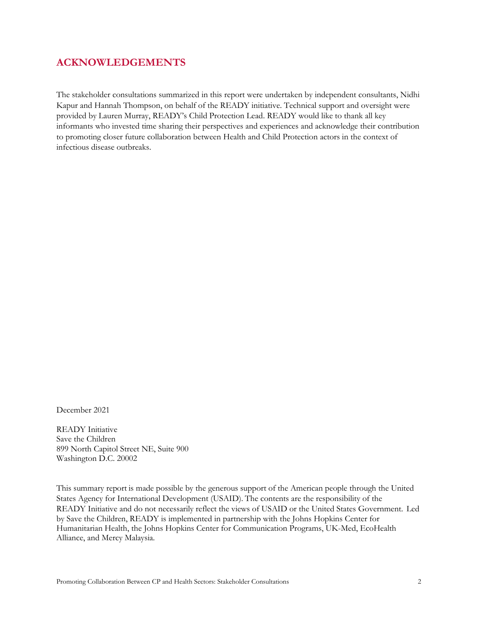## **ACKNOWLEDGEMENTS**

The stakeholder consultations summarized in this report were undertaken by independent consultants, Nidhi Kapur and Hannah Thompson, on behalf of the READY initiative. Technical support and oversight were provided by Lauren Murray, READY's Child Protection Lead. READY would like to thank all key informants who invested time sharing their perspectives and experiences and acknowledge their contribution to promoting closer future collaboration between Health and Child Protection actors in the context of infectious disease outbreaks.

December 2021

READY Initiative Save the Children 899 North Capitol Street NE, Suite 900 Washington D.C. 20002

This summary report is made possible by the generous support of the American people through the United States Agency for International Development (USAID). The contents are the responsibility of the READY Initiative and do not necessarily reflect the views of USAID or the United States Government.  Led by Save the Children, READY is implemented in partnership with the Johns Hopkins Center for Humanitarian Health, the Johns Hopkins Center for Communication Programs, UK-Med, EcoHealth Alliance, and Mercy Malaysia.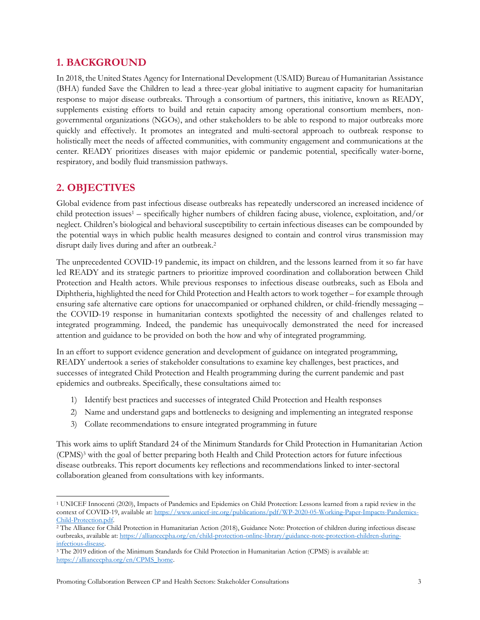## **1. BACKGROUND**

In 2018, the United States Agency for International Development (USAID) Bureau of Humanitarian Assistance (BHA) funded Save the Children to lead a three-year global initiative to augment capacity for humanitarian response to major disease outbreaks. Through a consortium of partners, this initiative, known as READY, supplements existing efforts to build and retain capacity among operational consortium members, nongovernmental organizations (NGOs), and other stakeholders to be able to respond to major outbreaks more quickly and effectively. It promotes an integrated and multi-sectoral approach to outbreak response to holistically meet the needs of affected communities, with community engagement and communications at the center. READY prioritizes diseases with major epidemic or pandemic potential, specifically water-borne, respiratory, and bodily fluid transmission pathways.

## **2. OBJECTIVES**

Global evidence from past infectious disease outbreaks has repeatedly underscored an increased incidence of child protection issues<sup>1</sup> – specifically higher numbers of children facing abuse, violence, exploitation, and/or neglect. Children's biological and behavioral susceptibility to certain infectious diseases can be compounded by the potential ways in which public health measures designed to contain and control virus transmission may disrupt daily lives during and after an outbreak.<sup>2</sup>

The unprecedented COVID-19 pandemic, its impact on children, and the lessons learned from it so far have led READY and its strategic partners to prioritize improved coordination and collaboration between Child Protection and Health actors. While previous responses to infectious disease outbreaks, such as Ebola and Diphtheria, highlighted the need for Child Protection and Health actors to work together – for example through ensuring safe alternative care options for unaccompanied or orphaned children, or child-friendly messaging – the COVID-19 response in humanitarian contexts spotlighted the necessity of and challenges related to integrated programming. Indeed, the pandemic has unequivocally demonstrated the need for increased attention and guidance to be provided on both the how and why of integrated programming.

In an effort to support evidence generation and development of guidance on integrated programming, READY undertook a series of stakeholder consultations to examine key challenges, best practices, and successes of integrated Child Protection and Health programming during the current pandemic and past epidemics and outbreaks. Specifically, these consultations aimed to:

- 1) Identify best practices and successes of integrated Child Protection and Health responses
- 2) Name and understand gaps and bottlenecks to designing and implementing an integrated response
- 3) Collate recommendations to ensure integrated programming in future

This work aims to uplift Standard 24 of the Minimum Standards for Child Protection in Humanitarian Action (CPMS)<sup>3</sup> with the goal of better preparing both Health and Child Protection actors for future infectious disease outbreaks. This report documents key reflections and recommendations linked to inter-sectoral collaboration gleaned from consultations with key informants.

 $\overline{\phantom{a}}$ <sup>1</sup> UNICEF Innocenti (2020), Impacts of Pandemics and Epidemics on Child Protection: Lessons learned from a rapid review in the context of COVID-19, available at: [https://www.unicef-irc.org/publications/pdf/WP-2020-05-Working-Paper-Impacts-Pandemics-](https://www.unicef-irc.org/publications/pdf/WP-2020-05-Working-Paper-Impacts-Pandemics-Child-Protection.pdf)[Child-Protection.pdf.](https://www.unicef-irc.org/publications/pdf/WP-2020-05-Working-Paper-Impacts-Pandemics-Child-Protection.pdf)

<sup>2</sup> The Alliance for Child Protection in Humanitarian Action (2018), Guidance Note: Protection of children during infectious disease outbreaks, available at: [https://alliancecpha.org/en/child-protection-online-library/guidance-note-protection-children-during](https://alliancecpha.org/en/child-protection-online-library/guidance-note-protection-children-during-infectious-disease)[infectious-disease.](https://alliancecpha.org/en/child-protection-online-library/guidance-note-protection-children-during-infectious-disease)

<sup>3</sup> The 2019 edition of the Minimum Standards for Child Protection in Humanitarian Action (CPMS) is available at: [https://alliancecpha.org/en/CPMS\\_home.](https://alliancecpha.org/en/CPMS_home)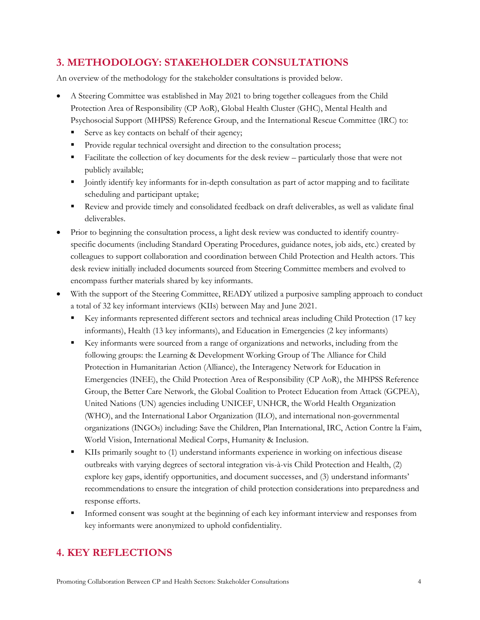# **3. METHODOLOGY: STAKEHOLDER CONSULTATIONS**

An overview of the methodology for the stakeholder consultations is provided below.

- A Steering Committee was established in May 2021 to bring together colleagues from the Child Protection Area of Responsibility (CP AoR), Global Health Cluster (GHC), Mental Health and Psychosocial Support (MHPSS) Reference Group, and the International Rescue Committee (IRC) to:
	- Serve as key contacts on behalf of their agency;
	- Provide regular technical oversight and direction to the consultation process;
	- **Facilitate the collection of key documents for the desk review particularly those that were not** publicly available;
	- I lointly identify key informants for in-depth consultation as part of actor mapping and to facilitate scheduling and participant uptake;
	- Review and provide timely and consolidated feedback on draft deliverables, as well as validate final deliverables.
- Prior to beginning the consultation process, a light desk review was conducted to identify countryspecific documents (including Standard Operating Procedures, guidance notes, job aids, etc.) created by colleagues to support collaboration and coordination between Child Protection and Health actors. This desk review initially included documents sourced from Steering Committee members and evolved to encompass further materials shared by key informants.
- With the support of the Steering Committee, READY utilized a purposive sampling approach to conduct a total of 32 key informant interviews (KIIs) between May and June 2021.
	- Key informants represented different sectors and technical areas including Child Protection (17 key informants), Health (13 key informants), and Education in Emergencies (2 key informants)
	- Key informants were sourced from a range of organizations and networks, including from the following groups: the Learning & Development Working Group of The Alliance for Child Protection in Humanitarian Action (Alliance), the Interagency Network for Education in Emergencies (INEE), the Child Protection Area of Responsibility (CP AoR), the MHPSS Reference Group, the Better Care Network, the Global Coalition to Protect Education from Attack (GCPEA), United Nations (UN) agencies including UNICEF, UNHCR, the World Health Organization (WHO), and the International Labor Organization (ILO), and international non-governmental organizations (INGOs) including: Save the Children, Plan International, IRC, Action Contre la Faim, World Vision, International Medical Corps, Humanity & Inclusion.
	- KIIs primarily sought to (1) understand informants experience in working on infectious disease outbreaks with varying degrees of sectoral integration vis-à-vis Child Protection and Health, (2) explore key gaps, identify opportunities, and document successes, and (3) understand informants' recommendations to ensure the integration of child protection considerations into preparedness and response efforts.
	- Informed consent was sought at the beginning of each key informant interview and responses from key informants were anonymized to uphold confidentiality.

# **4. KEY REFLECTIONS**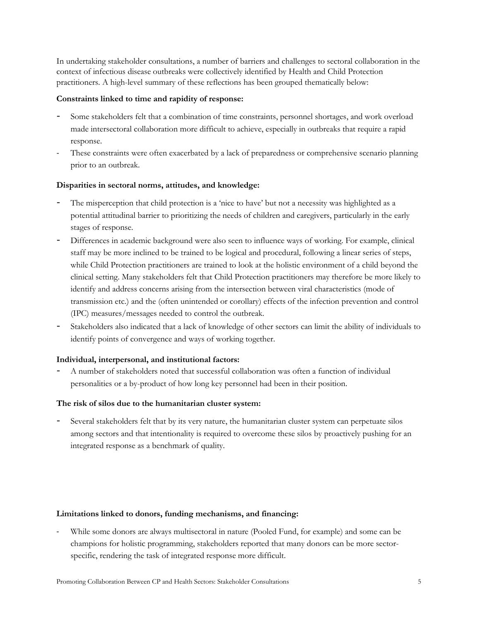In undertaking stakeholder consultations, a number of barriers and challenges to sectoral collaboration in the context of infectious disease outbreaks were collectively identified by Health and Child Protection practitioners. A high-level summary of these reflections has been grouped thematically below:

### **Constraints linked to time and rapidity of response:**

- Some stakeholders felt that a combination of time constraints, personnel shortages, and work overload made intersectoral collaboration more difficult to achieve, especially in outbreaks that require a rapid response.
- These constraints were often exacerbated by a lack of preparedness or comprehensive scenario planning prior to an outbreak.

### **Disparities in sectoral norms, attitudes, and knowledge:**

- The misperception that child protection is a 'nice to have' but not a necessity was highlighted as a potential attitudinal barrier to prioritizing the needs of children and caregivers, particularly in the early stages of response.
- Differences in academic background were also seen to influence ways of working. For example, clinical staff may be more inclined to be trained to be logical and procedural, following a linear series of steps, while Child Protection practitioners are trained to look at the holistic environment of a child beyond the clinical setting. Many stakeholders felt that Child Protection practitioners may therefore be more likely to identify and address concerns arising from the intersection between viral characteristics (mode of transmission etc.) and the (often unintended or corollary) effects of the infection prevention and control (IPC) measures/messages needed to control the outbreak.
- Stakeholders also indicated that a lack of knowledge of other sectors can limit the ability of individuals to identify points of convergence and ways of working together.

### **Individual, interpersonal, and institutional factors:**

- A number of stakeholders noted that successful collaboration was often a function of individual personalities or a by-product of how long key personnel had been in their position.

### **The risk of silos due to the humanitarian cluster system:**

Several stakeholders felt that by its very nature, the humanitarian cluster system can perpetuate silos among sectors and that intentionality is required to overcome these silos by proactively pushing for an integrated response as a benchmark of quality.

### **Limitations linked to donors, funding mechanisms, and financing:**

- While some donors are always multisectoral in nature (Pooled Fund, for example) and some can be champions for holistic programming, stakeholders reported that many donors can be more sectorspecific, rendering the task of integrated response more difficult.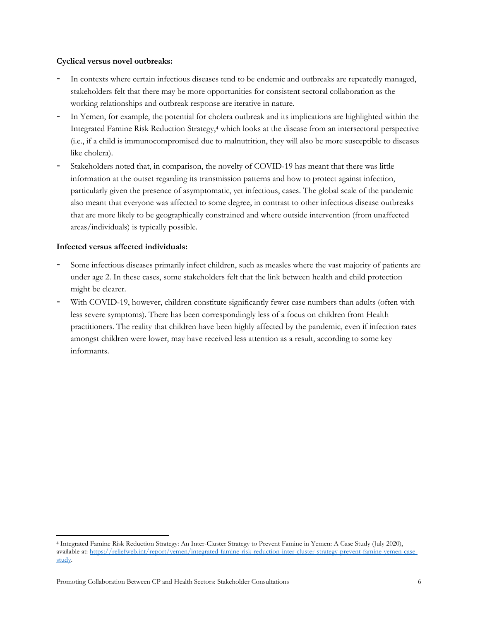### **Cyclical versus novel outbreaks:**

- In contexts where certain infectious diseases tend to be endemic and outbreaks are repeatedly managed, stakeholders felt that there may be more opportunities for consistent sectoral collaboration as the working relationships and outbreak response are iterative in nature.
- In Yemen, for example, the potential for cholera outbreak and its implications are highlighted within the Integrated Famine Risk Reduction Strategy,<sup>4</sup> which looks at the disease from an intersectoral perspective (i.e., if a child is immunocompromised due to malnutrition, they will also be more susceptible to diseases like cholera).
- Stakeholders noted that, in comparison, the novelty of COVID-19 has meant that there was little information at the outset regarding its transmission patterns and how to protect against infection, particularly given the presence of asymptomatic, yet infectious, cases. The global scale of the pandemic also meant that everyone was affected to some degree, in contrast to other infectious disease outbreaks that are more likely to be geographically constrained and where outside intervention (from unaffected areas/individuals) is typically possible.

### **Infected versus affected individuals:**

 $\overline{\phantom{a}}$ 

- Some infectious diseases primarily infect children, such as measles where the vast majority of patients are under age 2. In these cases, some stakeholders felt that the link between health and child protection might be clearer.
- With COVID-19, however, children constitute significantly fewer case numbers than adults (often with less severe symptoms). There has been correspondingly less of a focus on children from Health practitioners. The reality that children have been highly affected by the pandemic, even if infection rates amongst children were lower, may have received less attention as a result, according to some key informants.

<sup>4</sup> Integrated Famine Risk Reduction Strategy: An Inter-Cluster Strategy to Prevent Famine in Yemen: A Case Study (July 2020), available at[: https://reliefweb.int/report/yemen/integrated-famine-risk-reduction-inter-cluster-strategy-prevent-famine-yemen-case](https://reliefweb.int/report/yemen/integrated-famine-risk-reduction-inter-cluster-strategy-prevent-famine-yemen-case-study)[study.](https://reliefweb.int/report/yemen/integrated-famine-risk-reduction-inter-cluster-strategy-prevent-famine-yemen-case-study)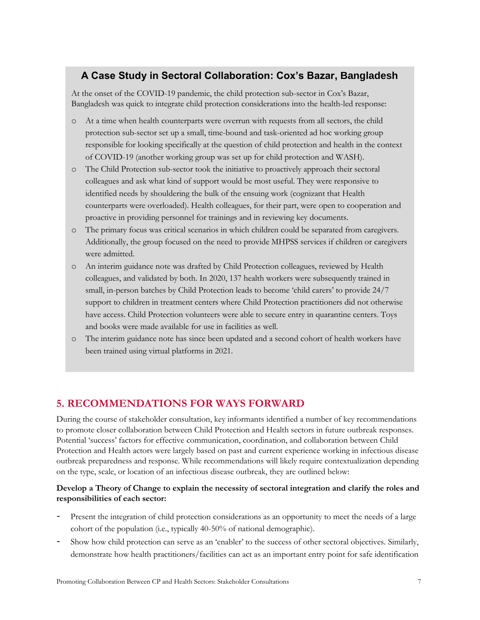# **A Case Study in Sectoral Collaboration: Cox's Bazar, Bangladesh**

At the onset of the COVID-19 pandemic, the child protection sub-sector in Cox's Bazar, Bangladesh was quick to integrate child protection considerations into the health-led response:

- o At a time when health counterparts were overrun with requests from all sectors, the child protection sub-sector set up a small, time-bound and task-oriented ad hoc working group responsible for looking specifically at the question of child protection and health in the context of COVID-19 (another working group was set up for child protection and WASH).
- o The Child Protection sub-sector took the initiative to proactively approach their sectoral colleagues and ask what kind of support would be most useful. They were responsive to identified needs by shouldering the bulk of the ensuing work (cognizant that Health counterparts were overloaded). Health colleagues, for their part, were open to cooperation and proactive in providing personnel for trainings and in reviewing key documents.
- o The primary focus was critical scenarios in which children could be separated from caregivers. Additionally, the group focused on the need to provide MHPSS services if children or caregivers were admitted.
- o An interim guidance note was drafted by Child Protection colleagues, reviewed by Health colleagues, and validated by both. In 2020, 137 health workers were subsequently trained in small, in-person batches by Child Protection leads to become 'child carers' to provide 24/7 support to children in treatment centers where Child Protection practitioners did not otherwise have access. Child Protection volunteers were able to secure entry in quarantine centers. Toys and books were made available for use in facilities as well.
- o The interim guidance note has since been updated and a second cohort of health workers have been trained using virtual platforms in 2021.

# **5. RECOMMENDATIONS FOR WAYS FORWARD**

During the course of stakeholder consultation, key informants identified a number of key recommendations to promote closer collaboration between Child Protection and Health sectors in future outbreak responses. Potential 'success' factors for effective communication, coordination, and collaboration between Child Protection and Health actors were largely based on past and current experience working in infectious disease outbreak preparedness and response. While recommendations will likely require contextualization depending on the type, scale, or location of an infectious disease outbreak, they are outlined below:

### **Develop a Theory of Change to explain the necessity of sectoral integration and clarify the roles and responsibilities of each sector:**

- Present the integration of child protection considerations as an opportunity to meet the needs of a large cohort of the population (i.e., typically 40-50% of national demographic).
- Show how child protection can serve as an 'enabler' to the success of other sectoral objectives. Similarly, demonstrate how health practitioners/facilities can act as an important entry point for safe identification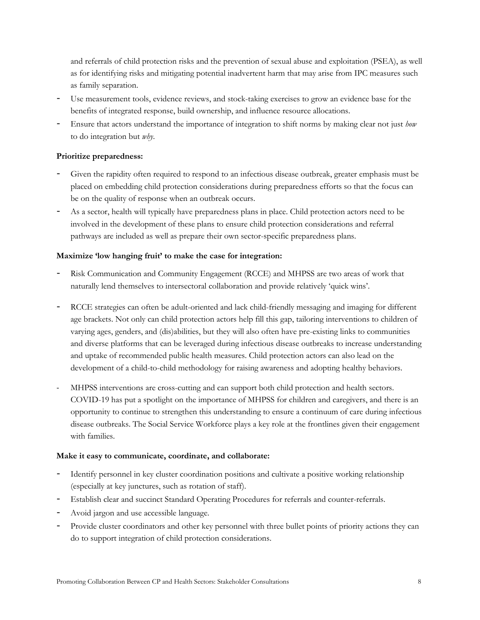and referrals of child protection risks and the prevention of sexual abuse and exploitation (PSEA), as well as for identifying risks and mitigating potential inadvertent harm that may arise from IPC measures such as family separation.

- Use measurement tools, evidence reviews, and stock-taking exercises to grow an evidence base for the benefits of integrated response, build ownership, and influence resource allocations.
- Ensure that actors understand the importance of integration to shift norms by making clear not just *how* to do integration but *why*.

### **Prioritize preparedness:**

- Given the rapidity often required to respond to an infectious disease outbreak, greater emphasis must be placed on embedding child protection considerations during preparedness efforts so that the focus can be on the quality of response when an outbreak occurs.
- As a sector, health will typically have preparedness plans in place. Child protection actors need to be involved in the development of these plans to ensure child protection considerations and referral pathways are included as well as prepare their own sector-specific preparedness plans.

### **Maximize 'low hanging fruit' to make the case for integration:**

- Risk Communication and Community Engagement (RCCE) and MHPSS are two areas of work that naturally lend themselves to intersectoral collaboration and provide relatively 'quick wins'.
- RCCE strategies can often be adult-oriented and lack child-friendly messaging and imaging for different age brackets. Not only can child protection actors help fill this gap, tailoring interventions to children of varying ages, genders, and (dis)abilities, but they will also often have pre-existing links to communities and diverse platforms that can be leveraged during infectious disease outbreaks to increase understanding and uptake of recommended public health measures. Child protection actors can also lead on the development of a child-to-child methodology for raising awareness and adopting healthy behaviors.
- MHPSS interventions are cross-cutting and can support both child protection and health sectors. COVID-19 has put a spotlight on the importance of MHPSS for children and caregivers, and there is an opportunity to continue to strengthen this understanding to ensure a continuum of care during infectious disease outbreaks. The Social Service Workforce plays a key role at the frontlines given their engagement with families.

### **Make it easy to communicate, coordinate, and collaborate:**

- Identify personnel in key cluster coordination positions and cultivate a positive working relationship (especially at key junctures, such as rotation of staff).
- Establish clear and succinct Standard Operating Procedures for referrals and counter-referrals.
- Avoid jargon and use accessible language.
- Provide cluster coordinators and other key personnel with three bullet points of priority actions they can do to support integration of child protection considerations.